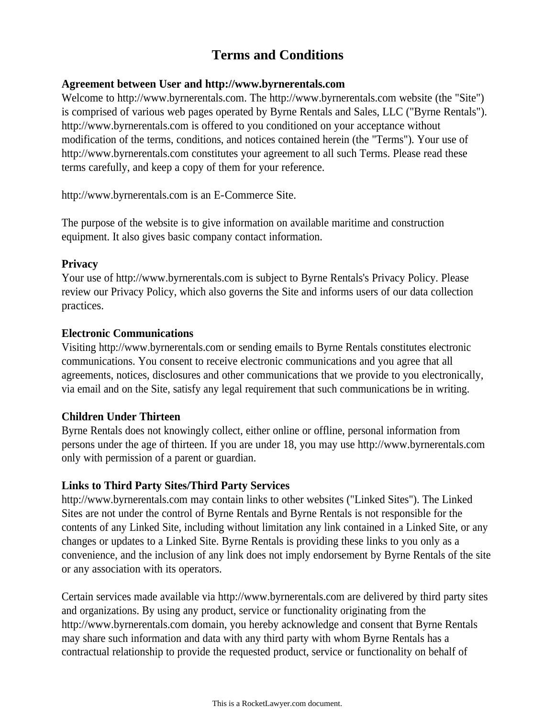# **Terms and Conditions**

## **Agreement between User and http://www.byrnerentals.com**

Welcome to http://www.byrnerentals.com. The http://www.byrnerentals.com website (the "Site") is comprised of various web pages operated by Byrne Rentals and Sales, LLC ("Byrne Rentals"). http://www.byrnerentals.com is offered to you conditioned on your acceptance without modification of the terms, conditions, and notices contained herein (the "Terms"). Your use of http://www.byrnerentals.com constitutes your agreement to all such Terms. Please read these terms carefully, and keep a copy of them for your reference.

http://www.byrnerentals.com is an E-Commerce Site.

The purpose of the website is to give information on available maritime and construction equipment. It also gives basic company contact information.

## **Privacy**

Your use of http://www.byrnerentals.com is subject to Byrne Rentals's Privacy Policy. Please review our Privacy Policy, which also governs the Site and informs users of our data collection practices.

## **Electronic Communications**

Visiting http://www.byrnerentals.com or sending emails to Byrne Rentals constitutes electronic communications. You consent to receive electronic communications and you agree that all agreements, notices, disclosures and other communications that we provide to you electronically, via email and on the Site, satisfy any legal requirement that such communications be in writing.

# **Children Under Thirteen**

Byrne Rentals does not knowingly collect, either online or offline, personal information from persons under the age of thirteen. If you are under 18, you may use http://www.byrnerentals.com only with permission of a parent or guardian.

# **Links to Third Party Sites/Third Party Services**

http://www.byrnerentals.com may contain links to other websites ("Linked Sites"). The Linked Sites are not under the control of Byrne Rentals and Byrne Rentals is not responsible for the contents of any Linked Site, including without limitation any link contained in a Linked Site, or any changes or updates to a Linked Site. Byrne Rentals is providing these links to you only as a convenience, and the inclusion of any link does not imply endorsement by Byrne Rentals of the site or any association with its operators.

Certain services made available via http://www.byrnerentals.com are delivered by third party sites and organizations. By using any product, service or functionality originating from the http://www.byrnerentals.com domain, you hereby acknowledge and consent that Byrne Rentals may share such information and data with any third party with whom Byrne Rentals has a contractual relationship to provide the requested product, service or functionality on behalf of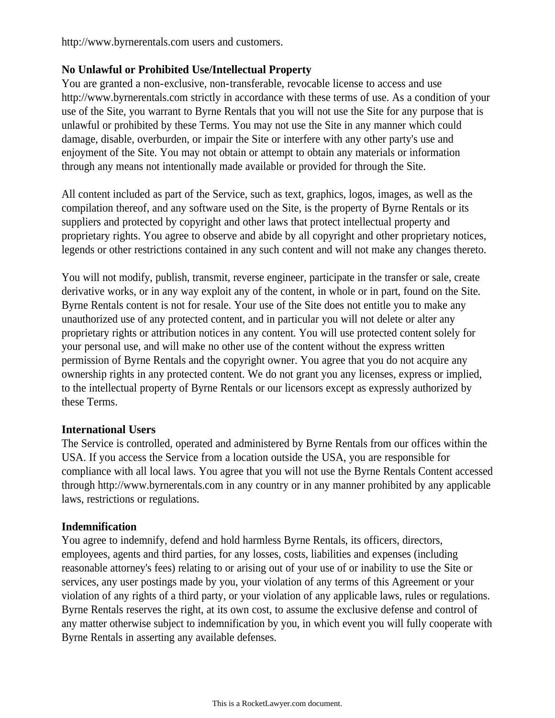http://www.byrnerentals.com users and customers.

## **No Unlawful or Prohibited Use/Intellectual Property**

You are granted a non-exclusive, non-transferable, revocable license to access and use http://www.byrnerentals.com strictly in accordance with these terms of use. As a condition of your use of the Site, you warrant to Byrne Rentals that you will not use the Site for any purpose that is unlawful or prohibited by these Terms. You may not use the Site in any manner which could damage, disable, overburden, or impair the Site or interfere with any other party's use and enjoyment of the Site. You may not obtain or attempt to obtain any materials or information through any means not intentionally made available or provided for through the Site.

All content included as part of the Service, such as text, graphics, logos, images, as well as the compilation thereof, and any software used on the Site, is the property of Byrne Rentals or its suppliers and protected by copyright and other laws that protect intellectual property and proprietary rights. You agree to observe and abide by all copyright and other proprietary notices, legends or other restrictions contained in any such content and will not make any changes thereto.

You will not modify, publish, transmit, reverse engineer, participate in the transfer or sale, create derivative works, or in any way exploit any of the content, in whole or in part, found on the Site. Byrne Rentals content is not for resale. Your use of the Site does not entitle you to make any unauthorized use of any protected content, and in particular you will not delete or alter any proprietary rights or attribution notices in any content. You will use protected content solely for your personal use, and will make no other use of the content without the express written permission of Byrne Rentals and the copyright owner. You agree that you do not acquire any ownership rights in any protected content. We do not grant you any licenses, express or implied, to the intellectual property of Byrne Rentals or our licensors except as expressly authorized by these Terms.

#### **International Users**

The Service is controlled, operated and administered by Byrne Rentals from our offices within the USA. If you access the Service from a location outside the USA, you are responsible for compliance with all local laws. You agree that you will not use the Byrne Rentals Content accessed through http://www.byrnerentals.com in any country or in any manner prohibited by any applicable laws, restrictions or regulations.

#### **Indemnification**

You agree to indemnify, defend and hold harmless Byrne Rentals, its officers, directors, employees, agents and third parties, for any losses, costs, liabilities and expenses (including reasonable attorney's fees) relating to or arising out of your use of or inability to use the Site or services, any user postings made by you, your violation of any terms of this Agreement or your violation of any rights of a third party, or your violation of any applicable laws, rules or regulations. Byrne Rentals reserves the right, at its own cost, to assume the exclusive defense and control of any matter otherwise subject to indemnification by you, in which event you will fully cooperate with Byrne Rentals in asserting any available defenses.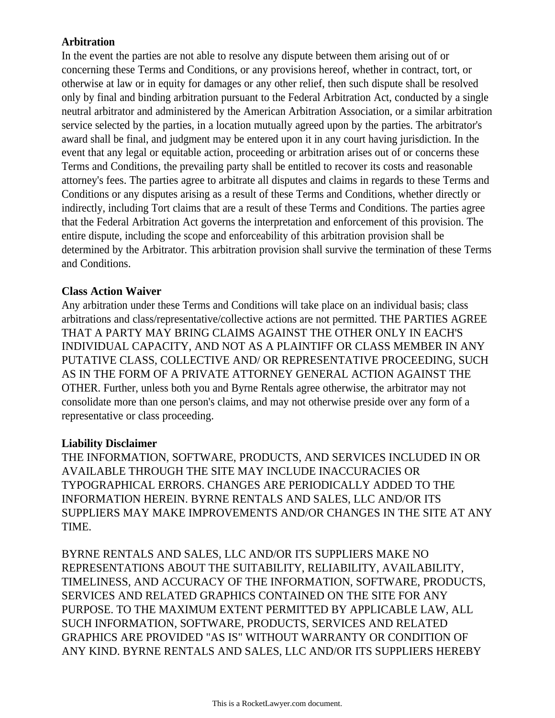# **Arbitration**

In the event the parties are not able to resolve any dispute between them arising out of or concerning these Terms and Conditions, or any provisions hereof, whether in contract, tort, or otherwise at law or in equity for damages or any other relief, then such dispute shall be resolved only by final and binding arbitration pursuant to the Federal Arbitration Act, conducted by a single neutral arbitrator and administered by the American Arbitration Association, or a similar arbitration service selected by the parties, in a location mutually agreed upon by the parties. The arbitrator's award shall be final, and judgment may be entered upon it in any court having jurisdiction. In the event that any legal or equitable action, proceeding or arbitration arises out of or concerns these Terms and Conditions, the prevailing party shall be entitled to recover its costs and reasonable attorney's fees. The parties agree to arbitrate all disputes and claims in regards to these Terms and Conditions or any disputes arising as a result of these Terms and Conditions, whether directly or indirectly, including Tort claims that are a result of these Terms and Conditions. The parties agree that the Federal Arbitration Act governs the interpretation and enforcement of this provision. The entire dispute, including the scope and enforceability of this arbitration provision shall be determined by the Arbitrator. This arbitration provision shall survive the termination of these Terms and Conditions.

# **Class Action Waiver**

Any arbitration under these Terms and Conditions will take place on an individual basis; class arbitrations and class/representative/collective actions are not permitted. THE PARTIES AGREE THAT A PARTY MAY BRING CLAIMS AGAINST THE OTHER ONLY IN EACH'S INDIVIDUAL CAPACITY, AND NOT AS A PLAINTIFF OR CLASS MEMBER IN ANY PUTATIVE CLASS, COLLECTIVE AND/ OR REPRESENTATIVE PROCEEDING, SUCH AS IN THE FORM OF A PRIVATE ATTORNEY GENERAL ACTION AGAINST THE OTHER. Further, unless both you and Byrne Rentals agree otherwise, the arbitrator may not consolidate more than one person's claims, and may not otherwise preside over any form of a representative or class proceeding.

#### **Liability Disclaimer**

THE INFORMATION, SOFTWARE, PRODUCTS, AND SERVICES INCLUDED IN OR AVAILABLE THROUGH THE SITE MAY INCLUDE INACCURACIES OR TYPOGRAPHICAL ERRORS. CHANGES ARE PERIODICALLY ADDED TO THE INFORMATION HEREIN. BYRNE RENTALS AND SALES, LLC AND/OR ITS SUPPLIERS MAY MAKE IMPROVEMENTS AND/OR CHANGES IN THE SITE AT ANY TIME.

BYRNE RENTALS AND SALES, LLC AND/OR ITS SUPPLIERS MAKE NO REPRESENTATIONS ABOUT THE SUITABILITY, RELIABILITY, AVAILABILITY, TIMELINESS, AND ACCURACY OF THE INFORMATION, SOFTWARE, PRODUCTS, SERVICES AND RELATED GRAPHICS CONTAINED ON THE SITE FOR ANY PURPOSE. TO THE MAXIMUM EXTENT PERMITTED BY APPLICABLE LAW, ALL SUCH INFORMATION, SOFTWARE, PRODUCTS, SERVICES AND RELATED GRAPHICS ARE PROVIDED "AS IS" WITHOUT WARRANTY OR CONDITION OF ANY KIND. BYRNE RENTALS AND SALES, LLC AND/OR ITS SUPPLIERS HEREBY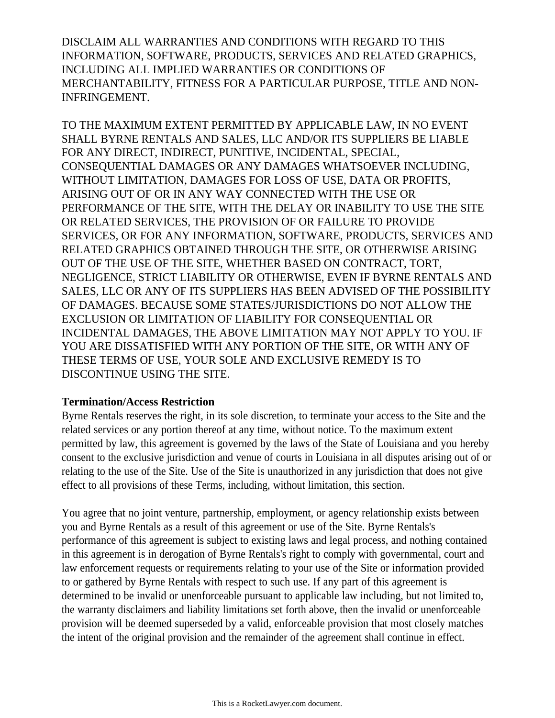DISCLAIM ALL WARRANTIES AND CONDITIONS WITH REGARD TO THIS INFORMATION, SOFTWARE, PRODUCTS, SERVICES AND RELATED GRAPHICS, INCLUDING ALL IMPLIED WARRANTIES OR CONDITIONS OF MERCHANTABILITY, FITNESS FOR A PARTICULAR PURPOSE, TITLE AND NON-INFRINGEMENT.

TO THE MAXIMUM EXTENT PERMITTED BY APPLICABLE LAW, IN NO EVENT SHALL BYRNE RENTALS AND SALES, LLC AND/OR ITS SUPPLIERS BE LIABLE FOR ANY DIRECT, INDIRECT, PUNITIVE, INCIDENTAL, SPECIAL, CONSEQUENTIAL DAMAGES OR ANY DAMAGES WHATSOEVER INCLUDING, WITHOUT LIMITATION, DAMAGES FOR LOSS OF USE, DATA OR PROFITS, ARISING OUT OF OR IN ANY WAY CONNECTED WITH THE USE OR PERFORMANCE OF THE SITE, WITH THE DELAY OR INABILITY TO USE THE SITE OR RELATED SERVICES, THE PROVISION OF OR FAILURE TO PROVIDE SERVICES, OR FOR ANY INFORMATION, SOFTWARE, PRODUCTS, SERVICES AND RELATED GRAPHICS OBTAINED THROUGH THE SITE, OR OTHERWISE ARISING OUT OF THE USE OF THE SITE, WHETHER BASED ON CONTRACT, TORT, NEGLIGENCE, STRICT LIABILITY OR OTHERWISE, EVEN IF BYRNE RENTALS AND SALES, LLC OR ANY OF ITS SUPPLIERS HAS BEEN ADVISED OF THE POSSIBILITY OF DAMAGES. BECAUSE SOME STATES/JURISDICTIONS DO NOT ALLOW THE EXCLUSION OR LIMITATION OF LIABILITY FOR CONSEQUENTIAL OR INCIDENTAL DAMAGES, THE ABOVE LIMITATION MAY NOT APPLY TO YOU. IF YOU ARE DISSATISFIED WITH ANY PORTION OF THE SITE, OR WITH ANY OF THESE TERMS OF USE, YOUR SOLE AND EXCLUSIVE REMEDY IS TO DISCONTINUE USING THE SITE.

#### **Termination/Access Restriction**

Byrne Rentals reserves the right, in its sole discretion, to terminate your access to the Site and the related services or any portion thereof at any time, without notice. To the maximum extent permitted by law, this agreement is governed by the laws of the State of Louisiana and you hereby consent to the exclusive jurisdiction and venue of courts in Louisiana in all disputes arising out of or relating to the use of the Site. Use of the Site is unauthorized in any jurisdiction that does not give effect to all provisions of these Terms, including, without limitation, this section.

You agree that no joint venture, partnership, employment, or agency relationship exists between you and Byrne Rentals as a result of this agreement or use of the Site. Byrne Rentals's performance of this agreement is subject to existing laws and legal process, and nothing contained in this agreement is in derogation of Byrne Rentals's right to comply with governmental, court and law enforcement requests or requirements relating to your use of the Site or information provided to or gathered by Byrne Rentals with respect to such use. If any part of this agreement is determined to be invalid or unenforceable pursuant to applicable law including, but not limited to, the warranty disclaimers and liability limitations set forth above, then the invalid or unenforceable provision will be deemed superseded by a valid, enforceable provision that most closely matches the intent of the original provision and the remainder of the agreement shall continue in effect.